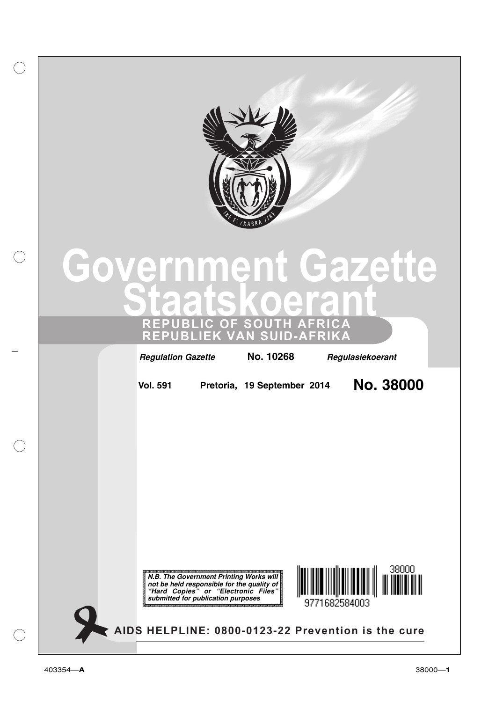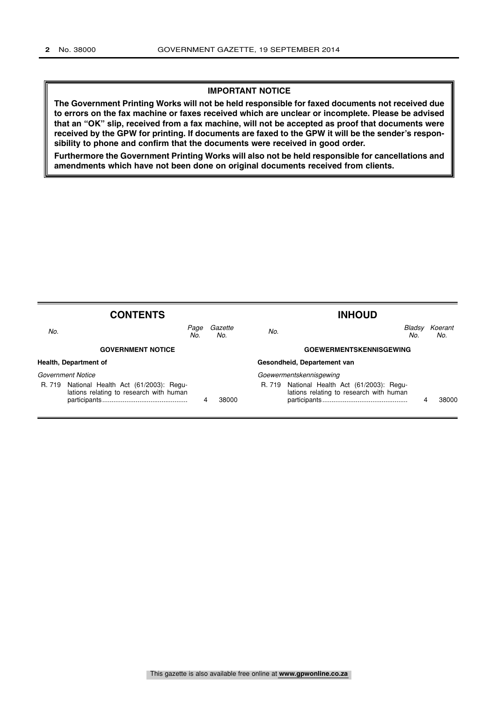### **IMPORTANT NOTICE**

**The Government Printing Works will not be held responsible for faxed documents not received due to errors on the fax machine or faxes received which are unclear or incomplete. Please be advised that an "OK" slip, received from a fax machine, will not be accepted as proof that documents were received by the GPW for printing. If documents are faxed to the GPW it will be the sender's responsibility to phone and confirm that the documents were received in good order.**

**Furthermore the Government Printing Works will also not be held responsible for cancellations and amendments which have not been done on original documents received from clients.**

|                          | <b>CONTENTS</b>                                                                 |             |                |                             | <b>INHOUD</b>                                                                          |               |                |
|--------------------------|---------------------------------------------------------------------------------|-------------|----------------|-----------------------------|----------------------------------------------------------------------------------------|---------------|----------------|
| No.                      |                                                                                 | Page<br>No. | Gazette<br>No. | No.                         |                                                                                        | Bladsy<br>No. | Koerant<br>No. |
|                          | <b>GOVERNMENT NOTICE</b>                                                        |             |                |                             | <b>GOEWERMENTSKENNISGEWING</b>                                                         |               |                |
| Health, Department of    |                                                                                 |             |                | Gesondheid, Departement van |                                                                                        |               |                |
| <b>Government Notice</b> |                                                                                 |             |                | Goewermentskennisgewing     |                                                                                        |               |                |
| R. 719                   | National Health Act (61/2003): Regu-<br>lations relating to research with human | 4           | 38000          |                             | R. 719 National Health Act (61/2003): Regu-<br>lations relating to research with human |               | 38000          |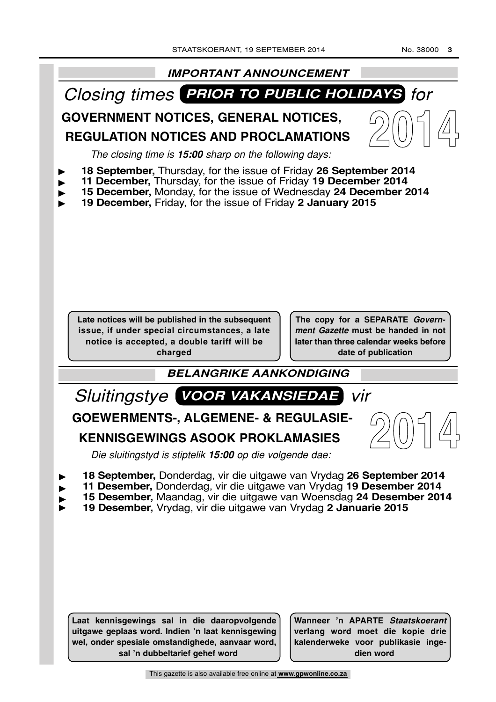

**Laat kennisgewings sal in die daaropvolgende uitgawe geplaas word. Indien 'n laat kennisgewing wel, onder spesiale omstandighede, aanvaar word, sal 'n dubbeltarief gehef word**

**Wanneer 'n APARTE Staatskoerant verlang word moet die kopie drie kalenderweke voor publikasie ingedien word**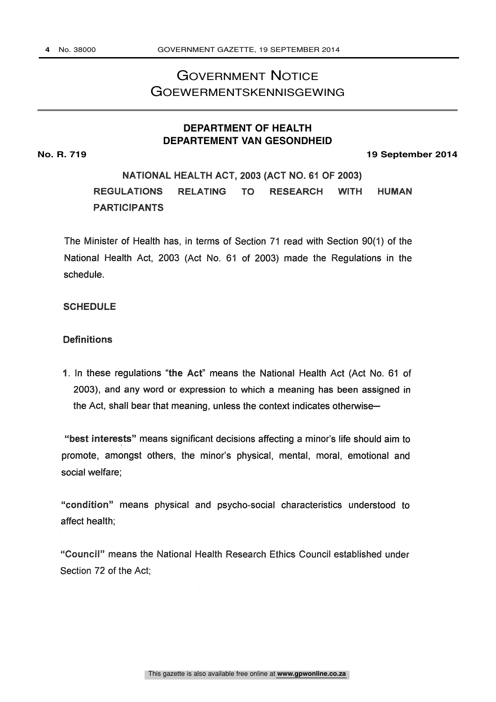# GOVERNMENT NOTICE GOEWERMENTSKENNISGEWING

# **DEPARTMENT OF HEALTH DEPARTEMENT VAN GESONDHEID**

**No. R. 719 19 September 2014**

# NATIONAL HEALTH ACT, 2003 (ACT NO. 61 OF 2003) REGULATIONS RELATING TO RESEARCH WITH HUMAN PARTICIPANTS

The Minister of Health has, in terms of Section 71 read with Section 90(1) of the National Health Act, 2003 (Act No. 61 of 2003) made the Regulations in the schedule.

# SCHEDULE

# Definitions

1. In these regulations "the Act" means the National Health Act (Act No. 61 of 2003), and any word or expression to which a meaning has been assigned in the Act, shall bear that meaning, unless the context indicates otherwise-

"best interests" means significant decisions affecting a minor's life should aim to promote, amongst others, the minor's physical, mental, moral, emotional and social welfare;

"condition" means physical and psycho-social characteristics understood to affect health;

"Council" means the National Health Research Ethics Council established under Section 72 of the Act;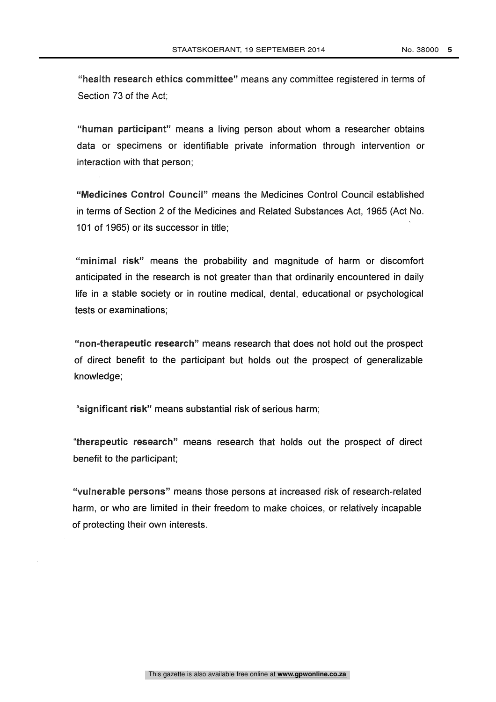"health research ethics committee" means any committee registered in terms of Section 73 of the Act;

"human participant" means a living person about whom a researcher obtains data or specimens or identifiable private information through intervention or interaction with that person;

"Medicines Control Council" means the Medicines Control Council established in terms of Section 2 of the Medicines and Related Substances Act, 1965 (Act No. 101 of 1965) or its successor in title;

"minimal risk" means the probability and magnitude of harm or discomfort anticipated in the research is not greater than that ordinarily encountered in daily life in a stable society or in routine medical, dental, educational or psychological tests or examinations;

"non-therapeutic research" means research that does not hold out the prospect of direct benefit to the participant but holds out the prospect of generalizable knowledge;

"significant risk" means substantial risk of serious harm;

"therapeutic research" means research that holds out the prospect of direct benefit to the participant;

"vulnerable persons" means those persons at increased risk of research-related harm, or who are limited in their freedom to make choices, or relatively incapable of protecting their own interests.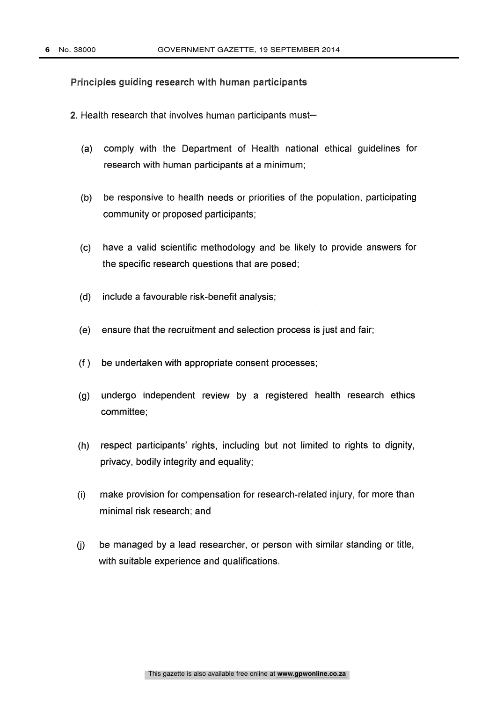### Principles guiding research with human participants

- 2. Health research that involves human participants must-
	- (a) comply with the Department of Health national ethical guidelines for research with human participants at a minimum;
	- (b) be responsive to health needs or priorities of the population, participating community or proposed participants;
	- (c) have a valid scientific methodology and be likely to provide answers for the specific research questions that are posed;
	- (d) include a favourable risk-benefit analysis;
	- (e) ensure that the recruitment and selection process is just and fair;
	- (f ) be undertaken with appropriate consent processes;
	- (g) undergo independent review by a registered health research ethics committee;
	- (h) respect participants' rights, including but not limited to rights to dignity, privacy, bodily integrity and equality;
	- (i) make provision for compensation for research-related injury, for more than minimal risk research; and
	- (j) be managed by a lead researcher, or person with similar standing or title, with suitable experience and qualifications.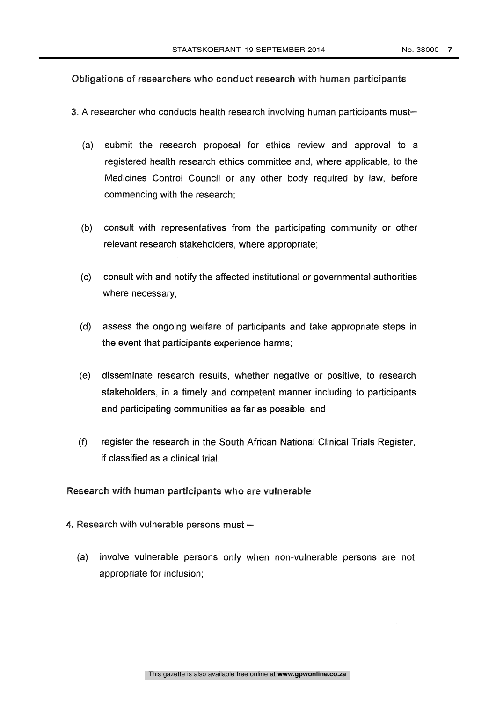# Obligations of researchers who conduct research with human participants

- 3. A researcher who conducts health research involving human participants must-
	- (a) submit the research proposal for ethics review and approval to a registered health research ethics committee and, where applicable, to the Medicines Control Council or any other body required by law, before commencing with the research;
	- (b) consult with representatives from the participating community or other relevant research stakeholders, where appropriate;
	- (c) consult with and notify the affected institutional or governmental authorities where necessary;
	- (d) assess the ongoing welfare of participants and take appropriate steps in the event that participants experience harms;
	- (e) disseminate research results, whether negative or positive, to research stakeholders, in a timely and competent manner including to participants and participating communities as far as possible; and
	- (f) register the research in the South African National Clinical Trials Register, if classified as a clinical trial.

# Research with human participants who are vulnerable

- 4. Research with vulnerable persons must  $-$ 
	- (a) involve vulnerable persons only when non-vulnerable persons are not appropriate for inclusion;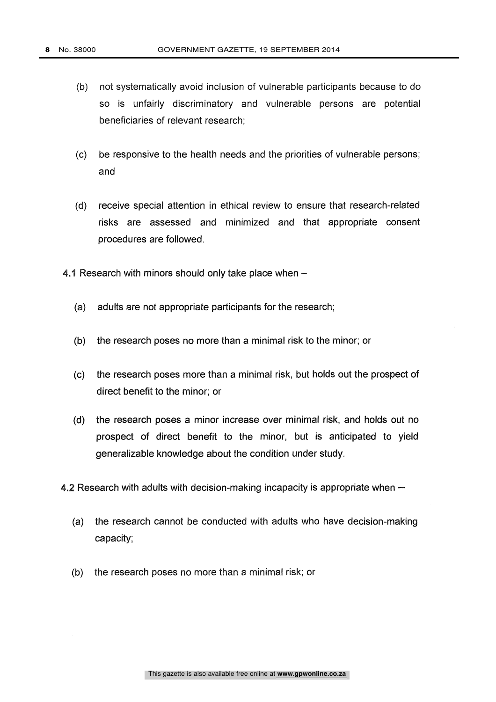- (b) not systematically avoid inclusion of vulnerable participants because to do so is unfairly discriminatory and vulnerable persons are potential beneficiaries of relevant research;
- (c) be responsive to the health needs and the priorities of vulnerable persons; and
- (d) receive special attention in ethical review to ensure that research-related risks are assessed and minimized and that appropriate consent procedures are followed.
- 4.1 Research with minors should only take place when -
	- (a) adults are not appropriate participants for the research;
	- (b) the research poses no more than a minimal risk to the minor; or
	- (c) the research poses more than a minimal risk, but holds out the prospect of direct benefit to the minor; or
	- (d) the research poses a minor increase over minimal risk, and holds out no prospect of direct benefit to the minor, but is anticipated to yield generalizable knowledge about the condition under study.
- 4.2 Research with adults with decision-making incapacity is appropriate when -
	- (a) the research cannot be conducted with adults who have decision-making capacity;
	- (b) the research poses no more than a minimal risk; or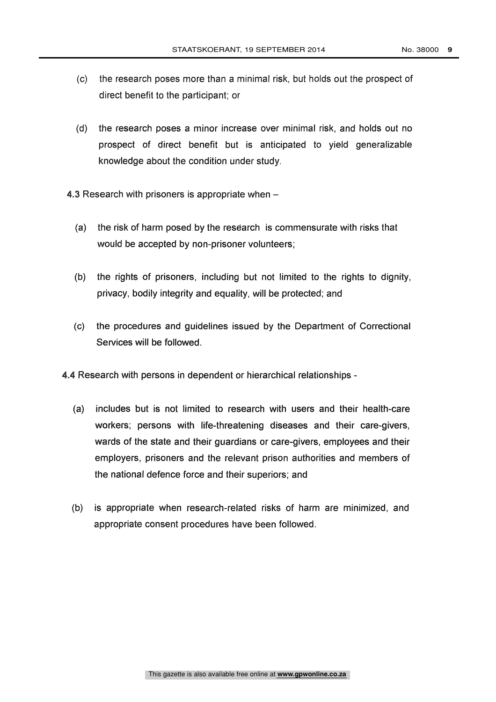- (c) the research poses more than a minimal risk, but holds out the prospect of direct benefit to the participant; or
- (d) the research poses a minor increase over minimal risk, and holds out no prospect of direct benefit but is anticipated to yield generalizable knowledge about the condition under study.
- 4.3 Research with prisoners is appropriate when  $-$ 
	- (a) the risk of harm posed by the research is commensurate with risks that would be accepted by non-prisoner volunteers;
	- (b) the rights of prisoners, including but not limited to the rights to dignity, privacy, bodily integrity and equality, will be protected; and
	- (c) the procedures and guidelines issued by the Department of Correctional Services will be followed.
- 4.4 Research with persons in dependent or hierarchical relationships
	- (a) includes but is not limited to research with users and their health-care workers; persons with life-threatening diseases and their care-givers, wards of the state and their guardians or care-givers, employees and their employers, prisoners and the relevant prison authorities and members of the national defence force and their superiors; and
	- (b) is appropriate when research-related risks of harm are minimized, and appropriate consent procedures have been followed.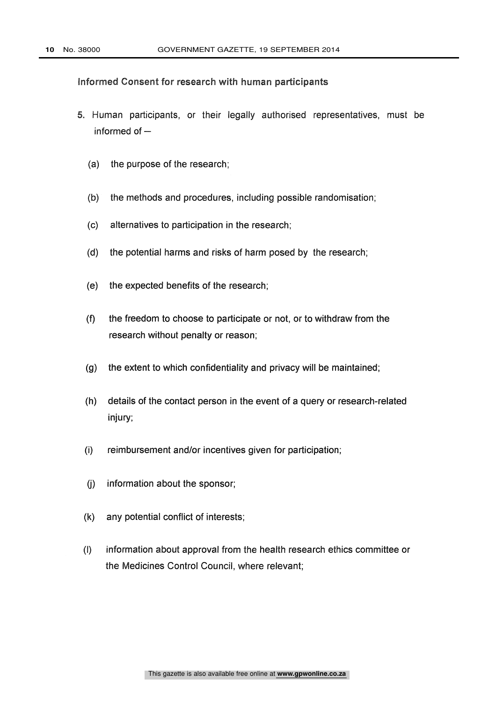## Informed Consent for research with human participants

- 5. Human participants, or their legally authorised representatives, must be informed of  $-$ 
	- (a) the purpose of the research;
	- (b) the methods and procedures, including possible randomisation;
	- (c) alternatives to participation in the research;
	- (d) the potential harms and risks of harm posed by the research;
	- (e) the expected benefits of the research;
	- (f) the freedom to choose to participate or not, or to withdraw from the research without penalty or reason;
	- (g) the extent to which confidentiality and privacy will be maintained;
	- (h) details of the contact person in the event of a query or research-related injury;
	- (i) reimbursement and/or incentives given for participation;
	- (j) information about the sponsor;
	- (k) any potential conflict of interests;
	- (I) information about approval from the health research ethics committee or the Medicines Control Council, where relevant;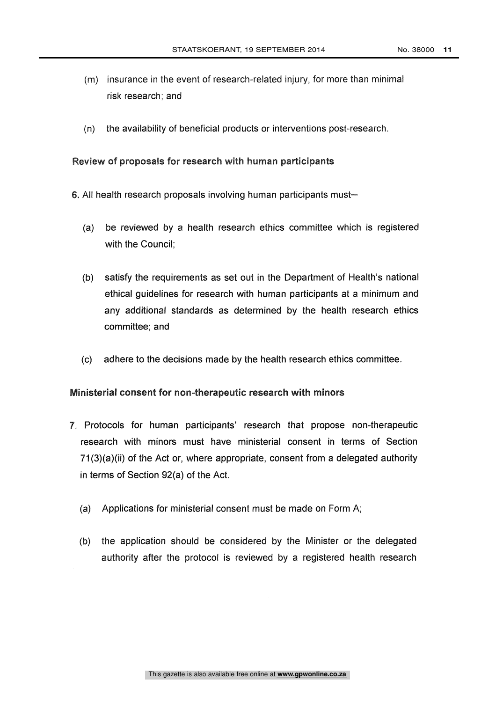- (m) insurance in the event of research-related injury, for more than minimal risk research; and
- (n) the availability of beneficial products or interventions post-research.

Review of proposals for research with human participants

- 6. All health research proposals involving human participants must-
	- (a) be reviewed by a health research ethics committee which is registered with the Council;
	- (b) satisfy the requirements as set out in the Department of Health's national ethical guidelines for research with human participants at a minimum and any additional standards as determined by the health research ethics committee; and
	- (c) adhere to the decisions made by the health research ethics committee.

#### Ministerial consent for non-therapeutic research with minors

- 7. Protocols for human participants' research that propose non-therapeutic research with minors must have ministerial consent in terms of Section  $71(3)(a)(ii)$  of the Act or, where appropriate, consent from a delegated authority in terms of Section 92(a) of the Act.
	- (a) Applications for ministerial consent must be made on Form A;
	- (b) the application should be considered by the Minister or the delegated authority after the protocol is reviewed by a registered health research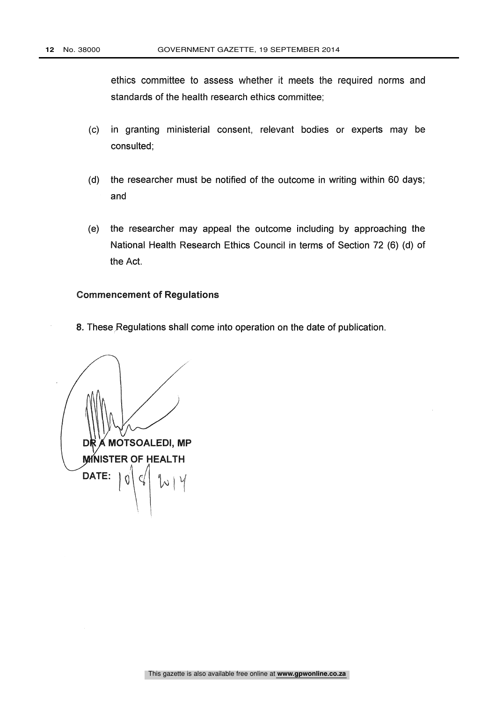ethics committee to assess whether it meets the required norms and standards of the health research ethics committee;

- (c) in granting ministerial consent, relevant bodies or experts may be consulted;
- (d) the researcher must be notified of the outcome in writing within 60 days; and
- (e) the researcher may appeal the outcome including by approaching the National Health Research Ethics Council in terms of Section 72 (6) (d) of the Act.

#### Commencement of Regulations

8. These Regulations shall come into operation on the date of publication.

MOTSOALEDI, MP D **MINISTER OF HEALTH** DATE:  $|0$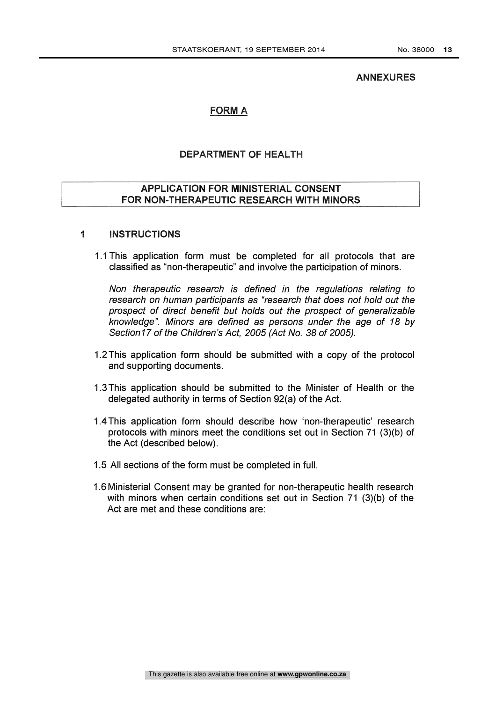#### ANNEXURES

# FORM A

## DEPARTMENT OF HEALTH

# APPLICATION FOR MINISTERIAL CONSENT FOR NON-THERAPEUTIC RESEARCH WITH MINORS

# <sup>1</sup> INSTRUCTIONS

1.1 This application form must be completed for all protocols that are classified as "non-therapeutic" and involve the participation of minors.

Non therapeutic research is defined in the regulations relating to research on human participants as "research that does not hold out the prospect of direct benefit but holds out the prospect of generalizable knowledge". Minors are defined as persons under the age of 18 by Section17 of the Children's Act, 2005 (Act No. 38 of 2005).

- 1.2 This application form should be submitted with a copy of the protocol and supporting documents.
- 1.3 This application should be submitted to the Minister of Health or the delegated authority in terms of Section 92(a) of the Act.
- 1.4 This application form should describe how 'non-therapeutic' research protocols with minors meet the conditions set out in Section 71 (3)(b) of the Act (described below).
- 1.5 All sections of the form must be completed in full.
- 1.6 Ministerial Consent may be granted for non-therapeutic health research with minors when certain conditions set out in Section 71 (3)(b) of the Act are met and these conditions are: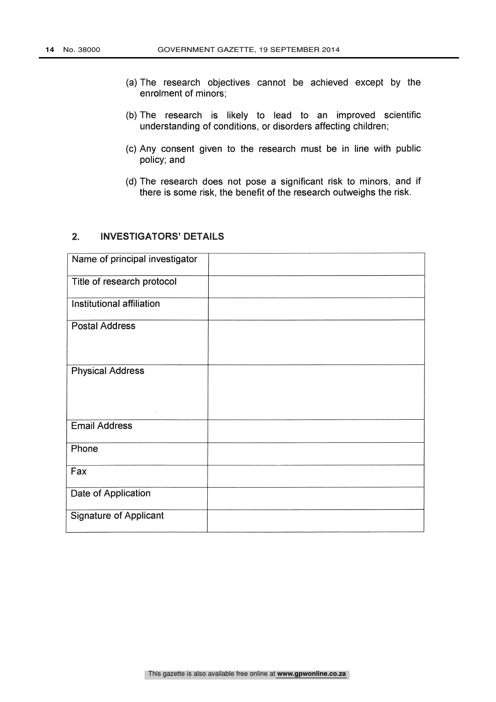- (a) The research objectives cannot be achieved except by the enrolment of minors;
- (b) The research is likely to lead to an improved scientific understanding of conditions, or disorders affecting children;
- (c) Any consent given to the research must be in line with public policy; and
- (d) The research does not pose a significant risk to minors, and if there is some risk, the benefit of the research outweighs the risk.

# 2. INVESTIGATORS' DETAILS

| Name of principal investigator |  |
|--------------------------------|--|
| Title of research protocol     |  |
| Institutional affiliation      |  |
| <b>Postal Address</b>          |  |
| <b>Physical Address</b>        |  |
| <b>Email Address</b>           |  |
| Phone                          |  |
| Fax                            |  |
| Date of Application            |  |
| <b>Signature of Applicant</b>  |  |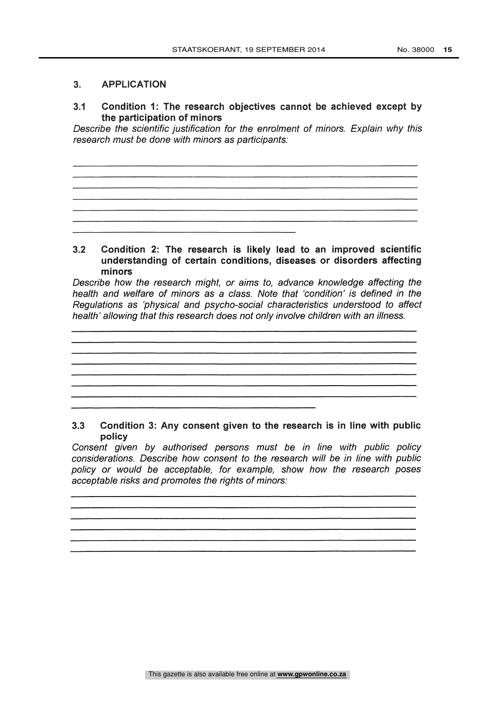## 3. APPLICATION

3.1 Condition 1: The research objectives cannot be achieved except by the participation of minors

Describe the scientific justification for the enrolment of minors. Explain why this research must be done with minors as participants:

## 3.2 Condition 2: The research is likely lead to an improved scientific understanding of certain conditions, diseases or disorders affecting minors

Describe how the research might, or aims to, advance knowledge affecting the health and welfare of minors as a class. Note that 'condition' is defined in the Regulations as 'physical and psycho-social characteristics understood to affect health' allowing that this research does not only involve children with an illness.

# 3.3 Condition 3: Any consent given to the research is in line with public policy

Consent given by authorised persons must be in line with public policy considerations. Describe how consent to the research will be in line with public policy or would be acceptable, for example, show how the research poses acceptable risks and promotes the rights of minors: